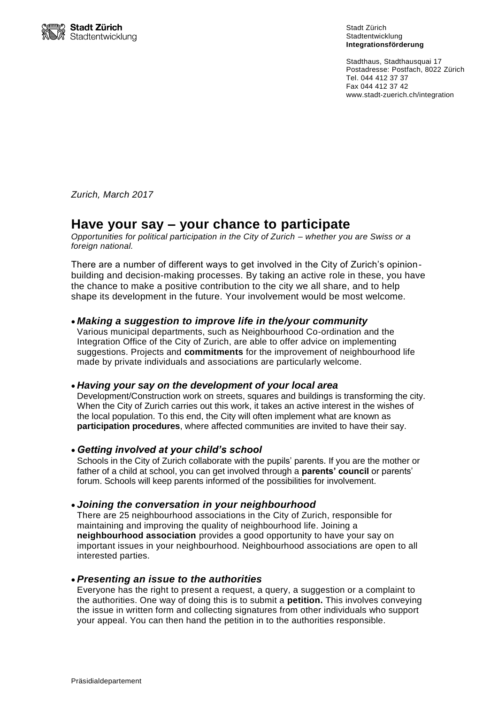

Stadt Zürich Stadtentwicklung **Integrationsförderung**

Stadthaus, Stadthausquai 17 Postadresse: Postfach, 8022 Zürich Tel. 044 412 37 37 Fax 044 412 37 42 www.stadt-zuerich.ch/integration

*Zurich, March 2017*

# **Have your say – your chance to participate**

*Opportunities for political participation in the City of Zurich – whether you are Swiss or a foreign national.*

There are a number of different ways to get involved in the City of Zurich's opinionbuilding and decision-making processes. By taking an active role in these, you have the chance to make a positive contribution to the city we all share, and to help shape its development in the future. Your involvement would be most welcome.

## *Making a suggestion to improve life in the/your community*

Various municipal departments, such as Neighbourhood Co-ordination and the Integration Office of the City of Zurich, are able to offer advice on implementing suggestions. Projects and **commitments** for the improvement of neighbourhood life made by private individuals and associations are particularly welcome.

#### *Having your say on the development of your local area*

Development/Construction work on streets, squares and buildings is transforming the city. When the City of Zurich carries out this work, it takes an active interest in the wishes of the local population. To this end, the City will often implement what are known as **participation procedures**, where affected communities are invited to have their say.

#### *Getting involved at your child's school*

Schools in the City of Zurich collaborate with the pupils' parents. If you are the mother or father of a child at school, you can get involved through a **parents' council** or parents' forum. Schools will keep parents informed of the possibilities for involvement.

## *Joining the conversation in your neighbourhood*

There are 25 neighbourhood associations in the City of Zurich, responsible for maintaining and improving the quality of neighbourhood life. Joining a **neighbourhood association** provides a good opportunity to have your say on important issues in your neighbourhood. Neighbourhood associations are open to all interested parties.

#### *Presenting an issue to the authorities*

Everyone has the right to present a request, a query, a suggestion or a complaint to the authorities. One way of doing this is to submit a **petition.** This involves conveying the issue in written form and collecting signatures from other individuals who support your appeal. You can then hand the petition in to the authorities responsible.